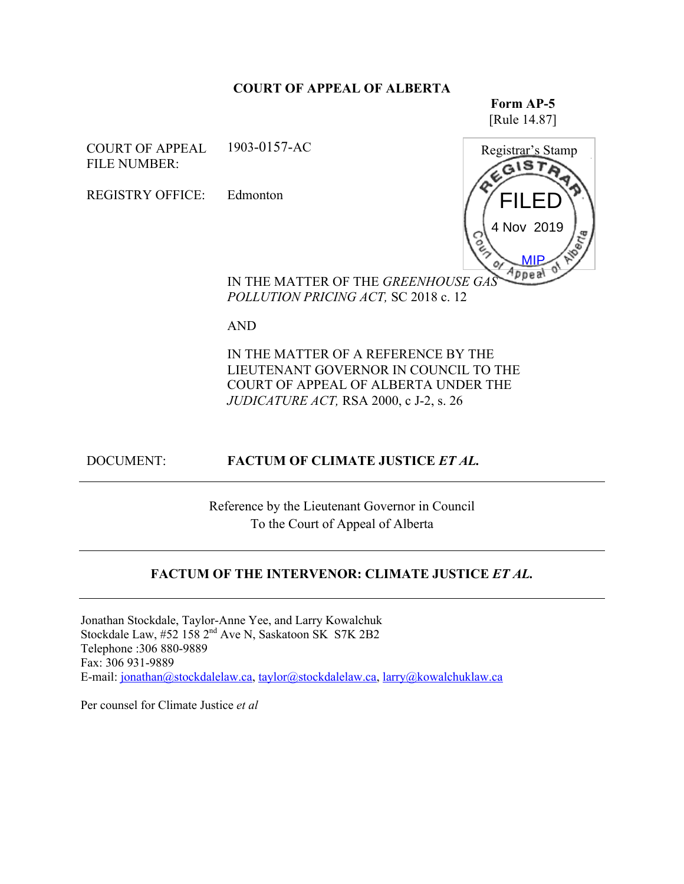#### **COURT OF APPEAL OF ALBERTA**

**Form AP-5** [Rule 14.87]

COURT OF APPEAL FILE NUMBER: 1903-0157-AC

REGISTRY OFFICE: Edmonton



IN THE MATTER OF THE *GREENHOUSE GAS POLLUTION PRICING ACT,* SC 2018 c. 12

AND

IN THE MATTER OF A REFERENCE BY THE LIEUTENANT GOVERNOR IN COUNCIL TO THE COURT OF APPEAL OF ALBERTA UNDER THE *JUDICATURE ACT,* RSA 2000, c J-2, s. 26

## DOCUMENT: **FACTUM OF CLIMATE JUSTICE** *ET AL.*

Reference by the Lieutenant Governor in Council To the Court of Appeal of Alberta

## **FACTUM OF THE INTERVENOR: CLIMATE JUSTICE** *ET AL.*

Jonathan Stockdale, Taylor-Anne Yee, and Larry Kowalchuk Stockdale Law, #52 158 2<sup>nd</sup> Ave N, Saskatoon SK S7K 2B2 Telephone :306 880-9889 Fax: 306 931-9889 E-mail: jonathan@stockdalelaw.ca, taylor@stockdalelaw.ca, larry@kowalchuklaw.ca

Per counsel for Climate Justice *et al*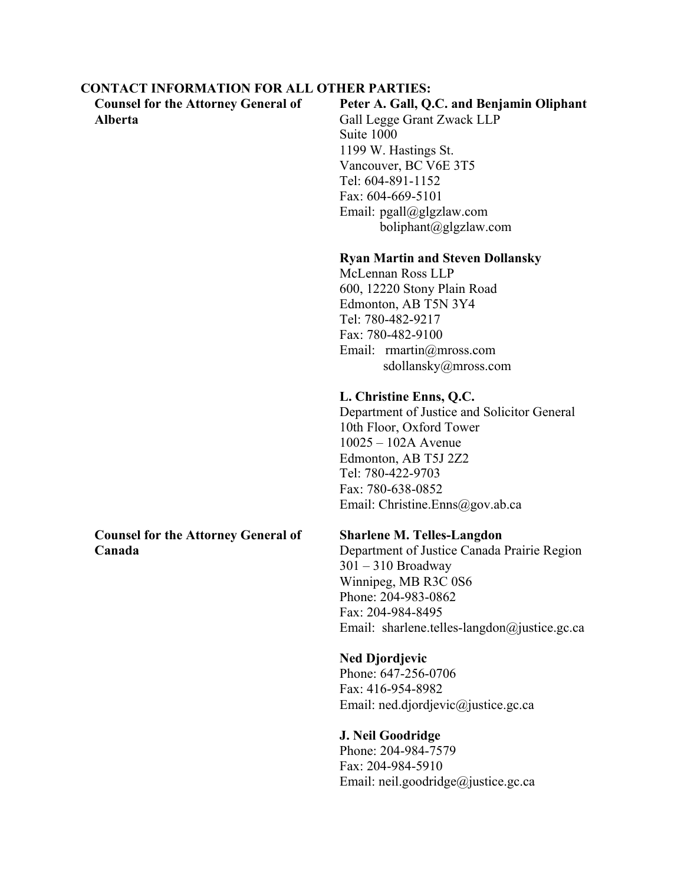#### **CONTACT INFORMATION FOR ALL OTHER PARTIES:**

**Counsel for the Attorney General of Alberta**

### **Peter A. Gall, Q.C. and Benjamin Oliphant**

Gall Legge Grant Zwack LLP Suite 1000 1199 W. Hastings St. Vancouver, BC V6E 3T5 Tel: 604-891-1152 Fax: 604-669-5101 Email: pgall@glgzlaw.com boliphant@glgzlaw.com

### **Ryan Martin and Steven Dollansky**

McLennan Ross LLP 600, 12220 Stony Plain Road Edmonton, AB T5N 3Y4 Tel: 780-482-9217 Fax: 780-482-9100 Email: rmartin@mross.com sdollansky@mross.com

### **L. Christine Enns, Q.C.**

Department of Justice and Solicitor General 10th Floor, Oxford Tower 10025 – 102A Avenue Edmonton, AB T5J 2Z2 Tel: 780-422-9703 Fax: 780-638-0852 Email: Christine.Enns@gov.ab.ca

### **Sharlene M. Telles-Langdon**

Department of Justice Canada Prairie Region 301 – 310 Broadway Winnipeg, MB R3C 0S6 Phone: 204-983-0862 Fax: 204-984-8495 Email: sharlene.telles-langdon@justice.gc.ca

**Ned Djordjevic** Phone: 647-256-0706 Fax: 416-954-8982 Email: ned.djordjevic@justice.gc.ca

## **J. Neil Goodridge** Phone: 204-984-7579 Fax: 204-984-5910 Email: neil.goodridge@justice.gc.ca

#### **Counsel for the Attorney General of Canada**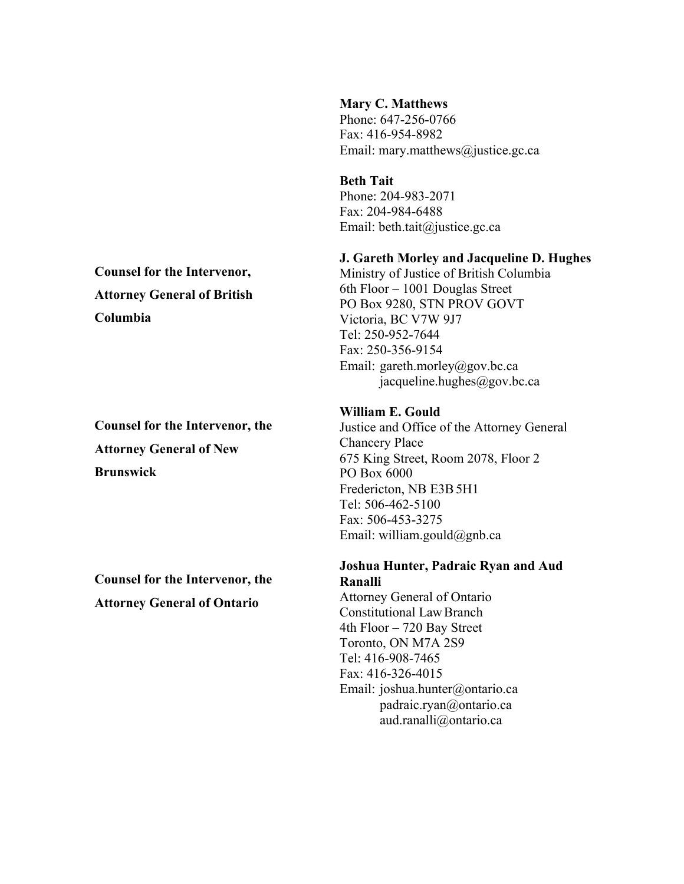#### **Mary C. Matthews**

Phone: 647-256-0766 Fax: 416-954-8982 Email: mary.matthews@justice.gc.ca

**Beth Tait** Phone: 204-983-2071 Fax: 204-984-6488 Email: beth.tait@justice.gc.ca

### **J. Gareth Morley and Jacqueline D. Hughes**

Ministry of Justice of British Columbia 6th Floor – 1001 Douglas Street PO Box 9280, STN PROV GOVT Victoria, BC V7W 9J7 Tel: 250-952-7644 Fax: 250-356-9154 Email: gareth.morley@gov.bc.ca jacqueline.hughes@gov.bc.ca

### **William E. Gould**

Justice and Office of the Attorney General Chancery Place 675 King Street, Room 2078, Floor 2 PO Box 6000 Fredericton, NB E3B5H1 Tel: 506-462-5100 Fax: 506-453-3275 Email: william.gould@gnb.ca

#### **Joshua Hunter, Padraic Ryan and Aud Ranalli**

Attorney General of Ontario Constitutional LawBranch 4th Floor – 720 Bay Street Toronto, ON M7A 2S9 Tel: 416-908-7465 Fax: 416-326-4015 Email: joshua.hunter@ontario.ca padraic.ryan@ontario.ca aud.ranalli@ontario.ca

# **Counsel for the Intervenor, Attorney General of British Columbia**

**Counsel for the Intervenor, the Attorney General of New Brunswick**

**Counsel for the Intervenor, the Attorney General of Ontario**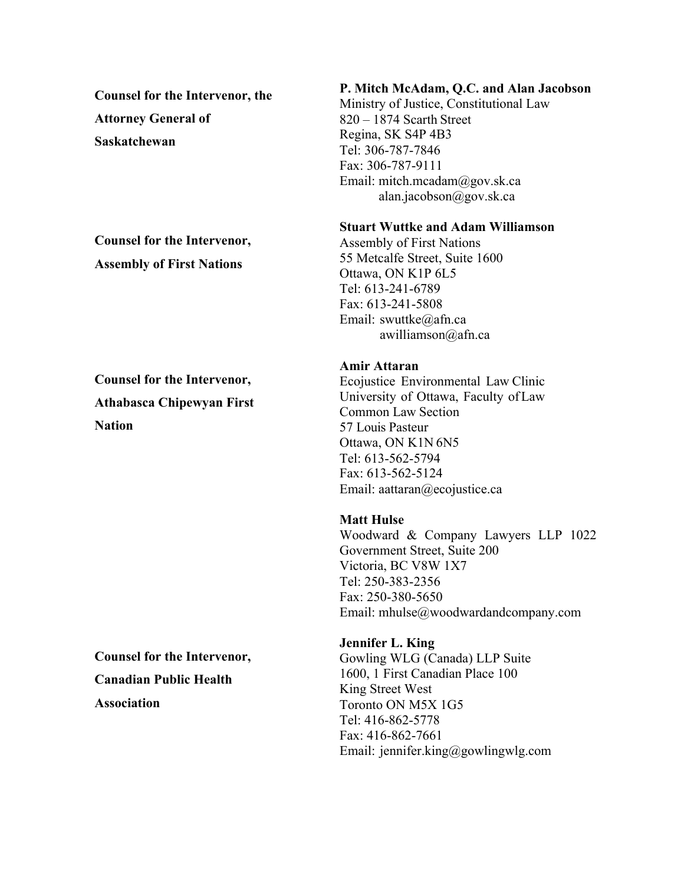**Counsel for the Intervenor, the Attorney General of Saskatchewan**

# **Counsel for the Intervenor, Assembly of First Nations**

**Counsel for the Intervenor, Athabasca Chipewyan First Nation**

**Counsel for the Intervenor, Canadian Public Health Association**

# **P. Mitch McAdam, Q.C. and Alan Jacobson**

Ministry of Justice, Constitutional Law 820 – 1874 Scarth Street Regina, SK S4P 4B3 Tel: 306-787-7846 Fax: 306-787-9111 Email: mitch.mcadam@gov.sk.ca alan.jacobson@gov.sk.ca

#### **Stuart Wuttke and Adam Williamson**

Assembly of First Nations 55 Metcalfe Street, Suite 1600 Ottawa, ON K1P 6L5 Tel: 613-241-6789 Fax: 613-241-5808 Email: swuttke@afn.ca awilliamson@afn.ca

#### **Amir Attaran**

Ecojustice Environmental Law Clinic University of Ottawa, Faculty ofLaw Common Law Section 57 Louis Pasteur Ottawa, ON K1N 6N5 Tel: 613-562-5794 Fax: 613-562-5124 Email: aattaran@ecojustice.ca

### **Matt Hulse**

Woodward & Company Lawyers LLP 1022 Government Street, Suite 200 Victoria, BC V8W 1X7 Tel: 250-383-2356 Fax: 250-380-5650 Email: mhulse@woodwardandcompany.com

# **Jennifer L. King**

Gowling WLG (Canada) LLP Suite 1600, 1 First Canadian Place 100 King Street West Toronto ON M5X 1G5 Tel: 416-862-5778 Fax: 416-862-7661 Email: jennifer.king@gowlingwlg.com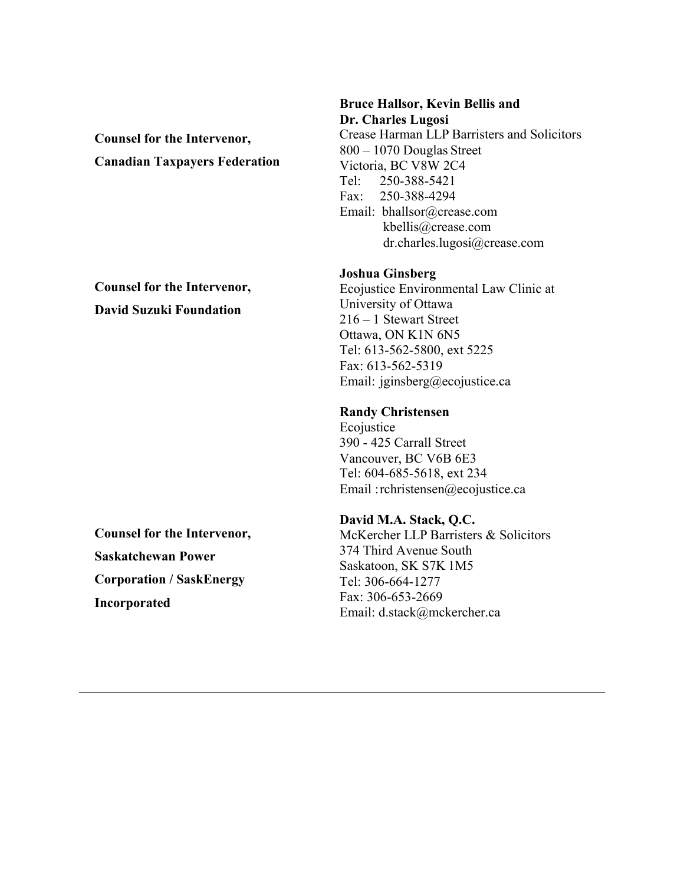**Counsel for the Intervenor, Canadian Taxpayers Federation**

**Counsel for the Intervenor, David Suzuki Foundation**

**Counsel for the Intervenor, Saskatchewan Power Corporation / SaskEnergy Incorporated**

#### **Bruce Hallsor, Kevin Bellis and Dr. Charles Lugosi**

Crease Harman LLP Barristers and Solicitors 800 – 1070 Douglas Street Victoria, BC V8W 2C4 Tel: 250-388-5421 Fax: 250-388-4294 Email: bhallsor@crease.com kbellis@crease.com dr.charles.lugosi@crease.com

#### **Joshua Ginsberg**

Ecojustice Environmental Law Clinic at University of Ottawa 216 – 1 Stewart Street Ottawa, ON K1N 6N5 Tel: 613-562-5800, ext 5225 Fax: 613-562-5319 Email: jginsberg@ecojustice.ca

#### **Randy Christensen**

Ecojustice 390 - 425 Carrall Street Vancouver, BC V6B 6E3 Tel: 604-685-5618, ext 234 Email :rchristensen@ecojustice.ca

### **David M.A. Stack, Q.C.**

McKercher LLP Barristers & Solicitors 374 Third Avenue South Saskatoon, SK S7K 1M5 Tel: 306-664-1277 Fax: 306-653-2669 Email: d.stack@mckercher.ca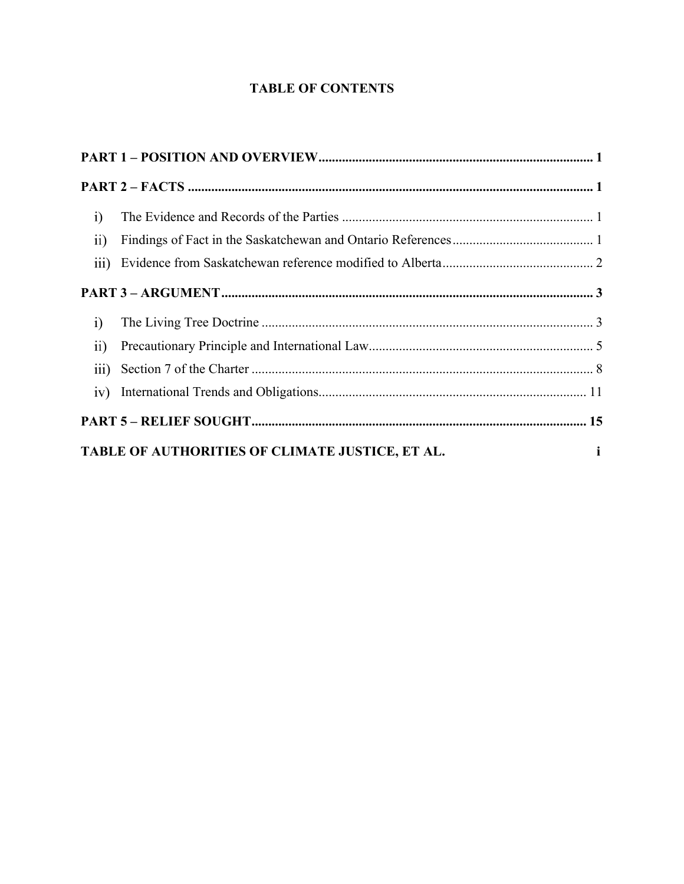# **TABLE OF CONTENTS**

| i)              |                                                 |              |
|-----------------|-------------------------------------------------|--------------|
| $\overline{11}$ |                                                 |              |
|                 |                                                 |              |
|                 |                                                 |              |
| $\mathbf{i}$    |                                                 |              |
| $\overline{ii}$ |                                                 |              |
|                 |                                                 |              |
|                 |                                                 |              |
|                 |                                                 |              |
|                 | TABLE OF AUTHORITIES OF CLIMATE JUSTICE, ET AL. | $\mathbf{i}$ |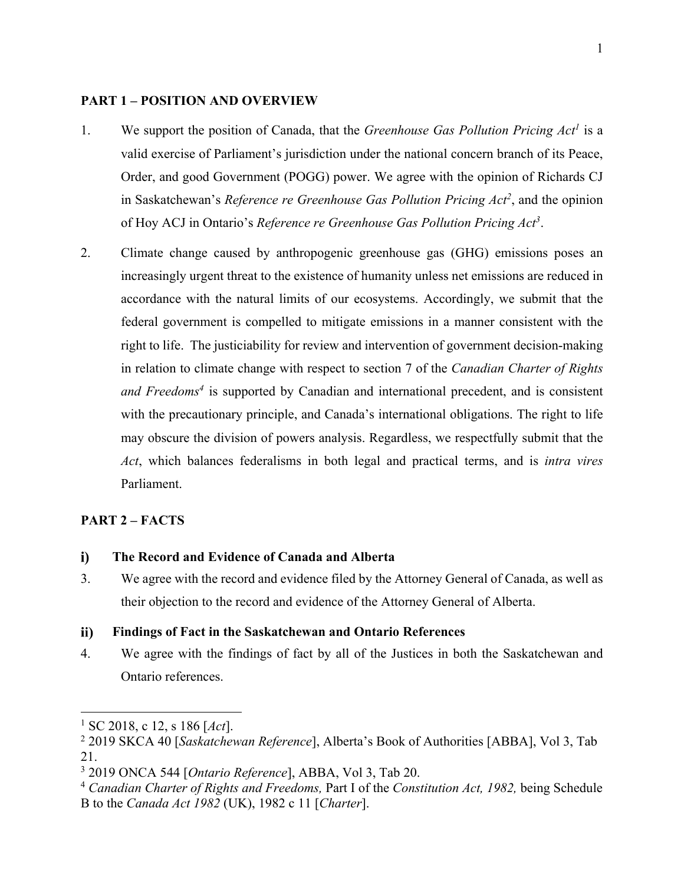#### **PART 1 – POSITION AND OVERVIEW**

- 1. We support the position of Canada, that the *Greenhouse Gas Pollution Pricing Act1* is a valid exercise of Parliament's jurisdiction under the national concern branch of its Peace, Order, and good Government (POGG) power. We agree with the opinion of Richards CJ in Saskatchewan's *Reference re Greenhouse Gas Pollution Pricing Act2* , and the opinion of Hoy ACJ in Ontario's *Reference re Greenhouse Gas Pollution Pricing Act3*.
- 2. Climate change caused by anthropogenic greenhouse gas (GHG) emissions poses an increasingly urgent threat to the existence of humanity unless net emissions are reduced in accordance with the natural limits of our ecosystems. Accordingly, we submit that the federal government is compelled to mitigate emissions in a manner consistent with the right to life. The justiciability for review and intervention of government decision-making in relation to climate change with respect to section 7 of the *Canadian Charter of Rights and Freedoms4* is supported by Canadian and international precedent, and is consistent with the precautionary principle, and Canada's international obligations. The right to life may obscure the division of powers analysis. Regardless, we respectfully submit that the *Act*, which balances federalisms in both legal and practical terms, and is *intra vires* Parliament.

#### **PART 2 – FACTS**

#### **The Record and Evidence of Canada and Alberta** i)

3. We agree with the record and evidence filed by the Attorney General of Canada, as well as their objection to the record and evidence of the Attorney General of Alberta.

#### $\mathbf{ii}$ **Findings of Fact in the Saskatchewan and Ontario References**

4. We agree with the findings of fact by all of the Justices in both the Saskatchewan and Ontario references.

<sup>1</sup> SC 2018, c 12, s 186 [*Act*].

<sup>2</sup> 2019 SKCA 40 [*Saskatchewan Reference*], Alberta's Book of Authorities [ABBA], Vol 3, Tab 21.

<sup>3</sup> 2019 ONCA 544 [*Ontario Reference*], ABBA, Vol 3, Tab 20.

<sup>4</sup> *Canadian Charter of Rights and Freedoms,* Part I of the *Constitution Act, 1982,* being Schedule B to the *Canada Act 1982* (UK), 1982 c 11 [*Charter*].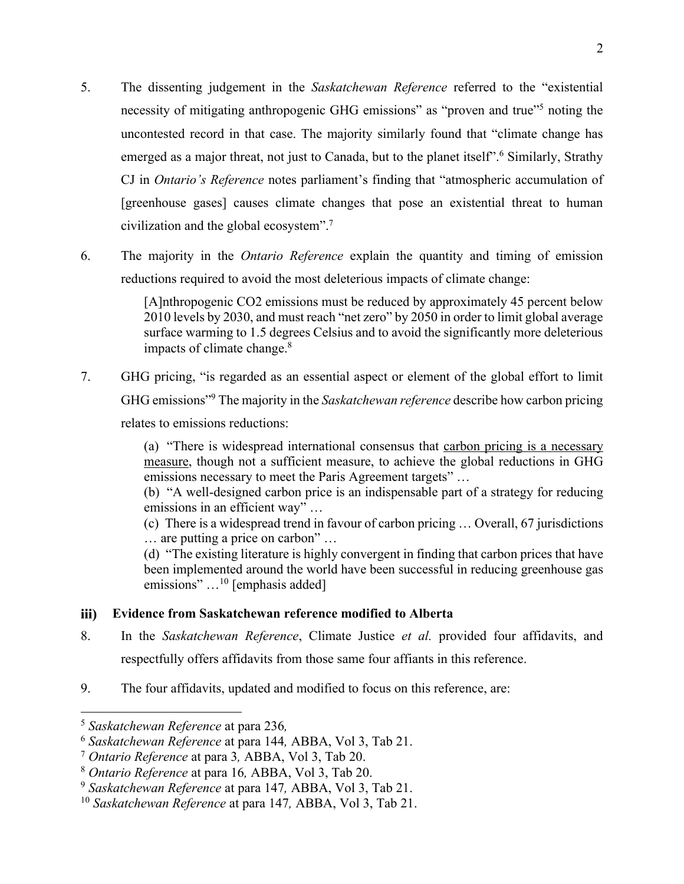- 5. The dissenting judgement in the *Saskatchewan Reference* referred to the "existential necessity of mitigating anthropogenic GHG emissions" as "proven and true"<sup>5</sup> noting the uncontested record in that case. The majority similarly found that "climate change has emerged as a major threat, not just to Canada, but to the planet itself".<sup>6</sup> Similarly, Strathy CJ in *Ontario's Reference* notes parliament's finding that "atmospheric accumulation of [greenhouse gases] causes climate changes that pose an existential threat to human civilization and the global ecosystem".7
- 6. The majority in the *Ontario Reference* explain the quantity and timing of emission reductions required to avoid the most deleterious impacts of climate change:

[A]nthropogenic CO2 emissions must be reduced by approximately 45 percent below 2010 levels by 2030, and must reach "net zero" by 2050 in order to limit global average surface warming to 1.5 degrees Celsius and to avoid the significantly more deleterious impacts of climate change.<sup>8</sup>

7. GHG pricing, "is regarded as an essential aspect or element of the global effort to limit GHG emissions"9 The majority in the *Saskatchewan reference* describe how carbon pricing relates to emissions reductions:

> (a) "There is widespread international consensus that carbon pricing is a necessary measure, though not a sufficient measure, to achieve the global reductions in GHG emissions necessary to meet the Paris Agreement targets" …

> (b) "A well-designed carbon price is an indispensable part of a strategy for reducing emissions in an efficient way" …

> (c) There is a widespread trend in favour of carbon pricing … Overall, 67 jurisdictions … are putting a price on carbon" …

> (d) "The existing literature is highly convergent in finding that carbon prices that have been implemented around the world have been successful in reducing greenhouse gas emissions" ...<sup>10</sup> [emphasis added]

#### **Evidence from Saskatchewan reference modified to Alberta** iii)

- 8. In the *Saskatchewan Reference*, Climate Justice *et al.* provided four affidavits, and respectfully offers affidavits from those same four affiants in this reference.
- 9. The four affidavits, updated and modified to focus on this reference, are:

<sup>5</sup> *Saskatchewan Reference* at para 236*,* 

<sup>6</sup> *Saskatchewan Reference* at para 144*,* ABBA, Vol 3, Tab 21. 7 *Ontario Reference* at para 3*,* ABBA, Vol 3, Tab 20.

<sup>8</sup> *Ontario Reference* at para 16*,* ABBA, Vol 3, Tab 20. 9 *Saskatchewan Reference* at para 147*,* ABBA, Vol 3, Tab 21.

<sup>10</sup> *Saskatchewan Reference* at para 147*,* ABBA, Vol 3, Tab 21.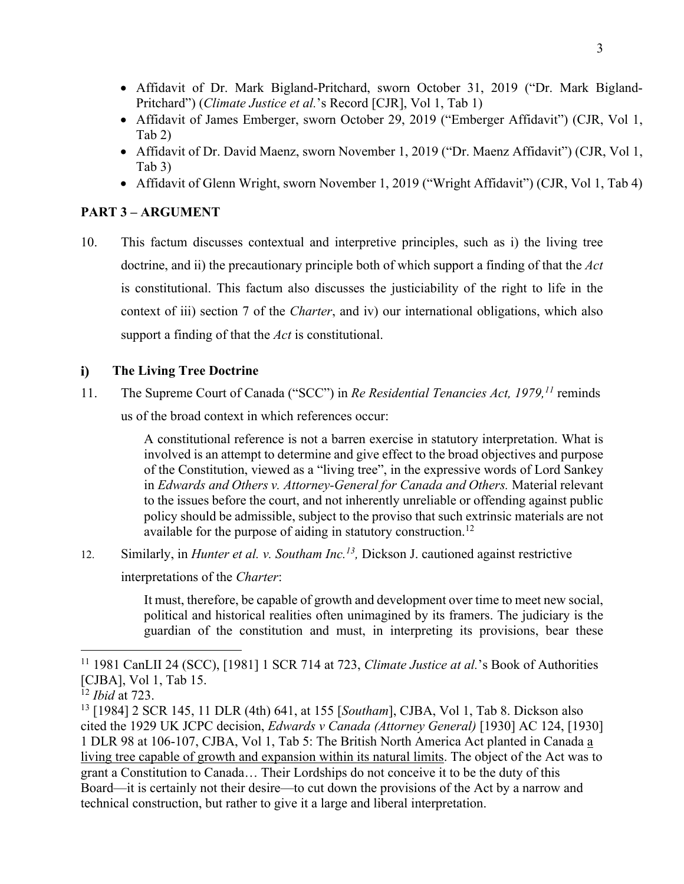- Affidavit of Dr. Mark Bigland-Pritchard, sworn October 31, 2019 ("Dr. Mark Bigland-Pritchard") (*Climate Justice et al.*'s Record [CJR], Vol 1, Tab 1)
- Affidavit of James Emberger, sworn October 29, 2019 ("Emberger Affidavit") (CJR, Vol 1, Tab 2)
- Affidavit of Dr. David Maenz, sworn November 1, 2019 ("Dr. Maenz Affidavit") (CJR, Vol 1, Tab 3)
- Affidavit of Glenn Wright, sworn November 1, 2019 ("Wright Affidavit") (CJR, Vol 1, Tab 4)

# **PART 3 – ARGUMENT**

10. This factum discusses contextual and interpretive principles, such as i) the living tree doctrine, and ii) the precautionary principle both of which support a finding of that the *Act* is constitutional. This factum also discusses the justiciability of the right to life in the context of iii) section 7 of the *Charter*, and iv) our international obligations, which also support a finding of that the *Act* is constitutional.

#### **The Living Tree Doctrine**  $i)$

11. The Supreme Court of Canada ("SCC") in *Re Residential Tenancies Act, 1979, <sup>11</sup>* reminds us of the broad context in which references occur:

> A constitutional reference is not a barren exercise in statutory interpretation. What is involved is an attempt to determine and give effect to the broad objectives and purpose of the Constitution, viewed as a "living tree", in the expressive words of Lord Sankey in *Edwards and Others v. Attorney-General for Canada and Others.* Material relevant to the issues before the court, and not inherently unreliable or offending against public policy should be admissible, subject to the proviso that such extrinsic materials are not available for the purpose of aiding in statutory construction.<sup>12</sup>

12. Similarly, in *Hunter et al. v. Southam Inc.<sup>13</sup>*, Dickson J. cautioned against restrictive

interpretations of the *Charter*:

It must, therefore, be capable of growth and development over time to meet new social, political and historical realities often unimagined by its framers. The judiciary is the guardian of the constitution and must, in interpreting its provisions, bear these

<sup>11</sup> 1981 CanLII 24 (SCC), [1981] 1 SCR 714 at 723, *Climate Justice at al.*'s Book of Authorities [CJBA], Vol 1, Tab 15. 12 *Ibid* at 723.

<sup>13</sup> [1984] 2 SCR 145, 11 DLR (4th) 641, at 155 [*Southam*], CJBA, Vol 1, Tab 8. Dickson also cited the 1929 UK JCPC decision, *Edwards v Canada (Attorney General)* [1930] AC 124, [1930] 1 DLR 98 at 106-107, CJBA, Vol 1, Tab 5: The British North America Act planted in Canada a living tree capable of growth and expansion within its natural limits. The object of the Act was to grant a Constitution to Canada… Their Lordships do not conceive it to be the duty of this Board—it is certainly not their desire—to cut down the provisions of the Act by a narrow and technical construction, but rather to give it a large and liberal interpretation.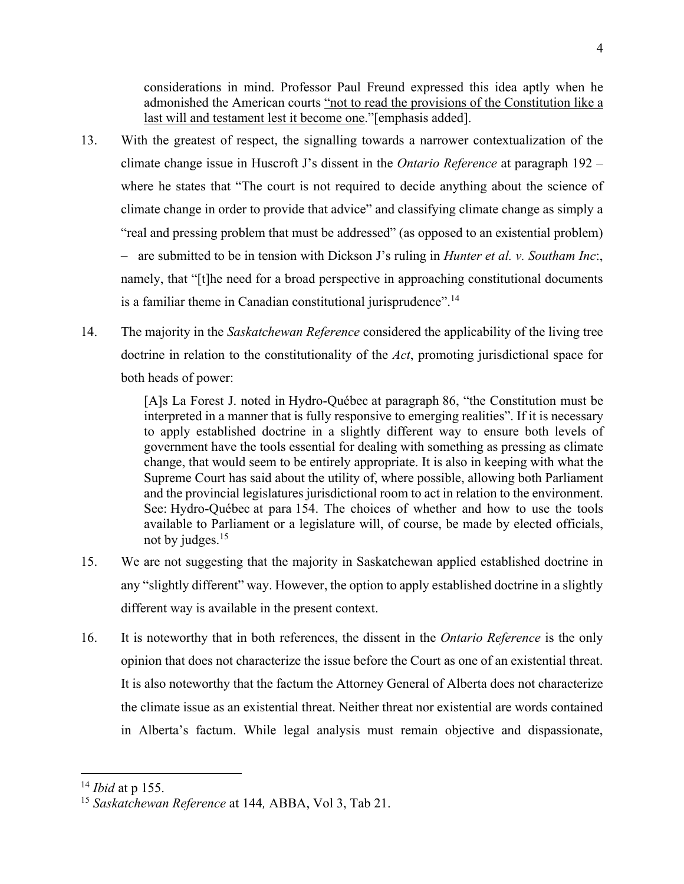considerations in mind. Professor Paul Freund expressed this idea aptly when he admonished the American courts "not to read the provisions of the Constitution like a last will and testament lest it become one."[emphasis added].

- 13. With the greatest of respect, the signalling towards a narrower contextualization of the climate change issue in Huscroft J's dissent in the *Ontario Reference* at paragraph 192 – where he states that "The court is not required to decide anything about the science of climate change in order to provide that advice" and classifying climate change as simply a "real and pressing problem that must be addressed" (as opposed to an existential problem) – are submitted to be in tension with Dickson J's ruling in *Hunter et al. v. Southam Inc*:, namely, that "[t]he need for a broad perspective in approaching constitutional documents is a familiar theme in Canadian constitutional jurisprudence".<sup>14</sup>
- 14. The majority in the *Saskatchewan Reference* considered the applicability of the living tree doctrine in relation to the constitutionality of the *Act*, promoting jurisdictional space for both heads of power:

[A]s La Forest J. noted in Hydro-Québec at paragraph 86, "the Constitution must be interpreted in a manner that is fully responsive to emerging realities". If it is necessary to apply established doctrine in a slightly different way to ensure both levels of government have the tools essential for dealing with something as pressing as climate change, that would seem to be entirely appropriate. It is also in keeping with what the Supreme Court has said about the utility of, where possible, allowing both Parliament and the provincial legislatures jurisdictional room to act in relation to the environment. See: Hydro-Québec at para 154. The choices of whether and how to use the tools available to Parliament or a legislature will, of course, be made by elected officials, not by judges.15

- 15. We are not suggesting that the majority in Saskatchewan applied established doctrine in any "slightly different" way. However, the option to apply established doctrine in a slightly different way is available in the present context.
- 16. It is noteworthy that in both references, the dissent in the *Ontario Reference* is the only opinion that does not characterize the issue before the Court as one of an existential threat. It is also noteworthy that the factum the Attorney General of Alberta does not characterize the climate issue as an existential threat. Neither threat nor existential are words contained in Alberta's factum. While legal analysis must remain objective and dispassionate,

<sup>14</sup> *Ibid* at p 155.

<sup>15</sup> *Saskatchewan Reference* at 144*,* ABBA, Vol 3, Tab 21.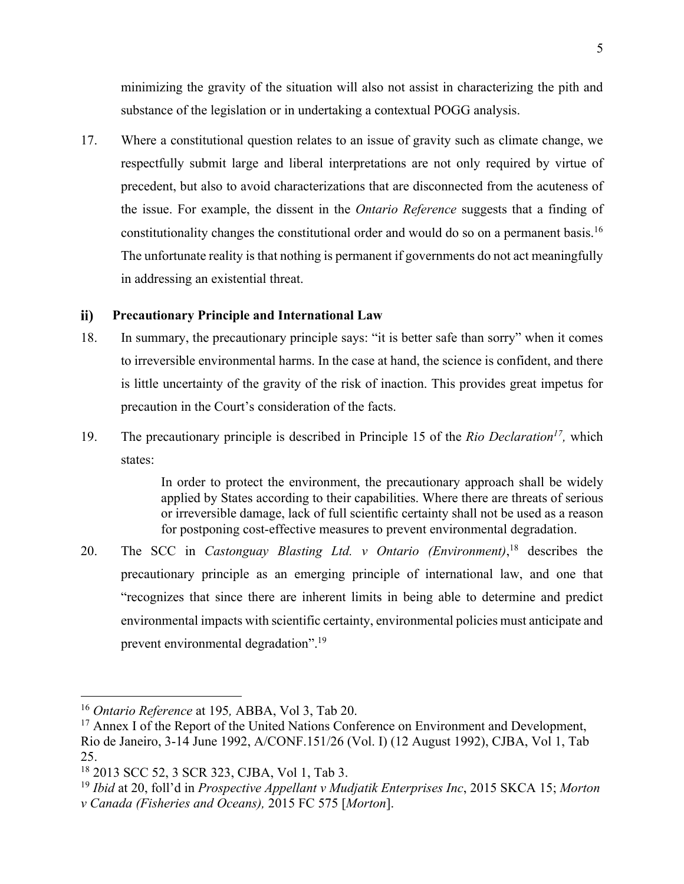minimizing the gravity of the situation will also not assist in characterizing the pith and substance of the legislation or in undertaking a contextual POGG analysis.

17. Where a constitutional question relates to an issue of gravity such as climate change, we respectfully submit large and liberal interpretations are not only required by virtue of precedent, but also to avoid characterizations that are disconnected from the acuteness of the issue. For example, the dissent in the *Ontario Reference* suggests that a finding of constitutionality changes the constitutional order and would do so on a permanent basis.16 The unfortunate reality is that nothing is permanent if governments do not act meaningfully in addressing an existential threat.

#### $\mathbf{ii}$ **Precautionary Principle and International Law**

- 18. In summary, the precautionary principle says: "it is better safe than sorry" when it comes to irreversible environmental harms. In the case at hand, the science is confident, and there is little uncertainty of the gravity of the risk of inaction. This provides great impetus for precaution in the Court's consideration of the facts.
- 19. The precautionary principle is described in Principle 15 of the *Rio Declaration17,* which states:

In order to protect the environment, the precautionary approach shall be widely applied by States according to their capabilities. Where there are threats of serious or irreversible damage, lack of full scientific certainty shall not be used as a reason for postponing cost-effective measures to prevent environmental degradation.

20. The SCC in *Castonguay Blasting Ltd. v Ontario (Environment)*, <sup>18</sup> describes the precautionary principle as an emerging principle of international law, and one that "recognizes that since there are inherent limits in being able to determine and predict environmental impacts with scientific certainty, environmental policies must anticipate and prevent environmental degradation".19

<sup>&</sup>lt;sup>16</sup> *Ontario Reference* at 195, ABBA, Vol 3, Tab 20.<br><sup>17</sup> Annex I of the Report of the United Nations Conference on Environment and Development, Rio de Janeiro, 3-14 June 1992, A/CONF.151/26 (Vol. I) (12 August 1992), CJBA, Vol 1, Tab 25.

<sup>18</sup> 2013 SCC 52, 3 SCR 323, CJBA, Vol 1, Tab 3.

<sup>19</sup> *Ibid* at 20, foll'd in *Prospective Appellant v Mudjatik Enterprises Inc*, 2015 SKCA 15; *Morton v Canada (Fisheries and Oceans),* 2015 FC 575 [*Morton*].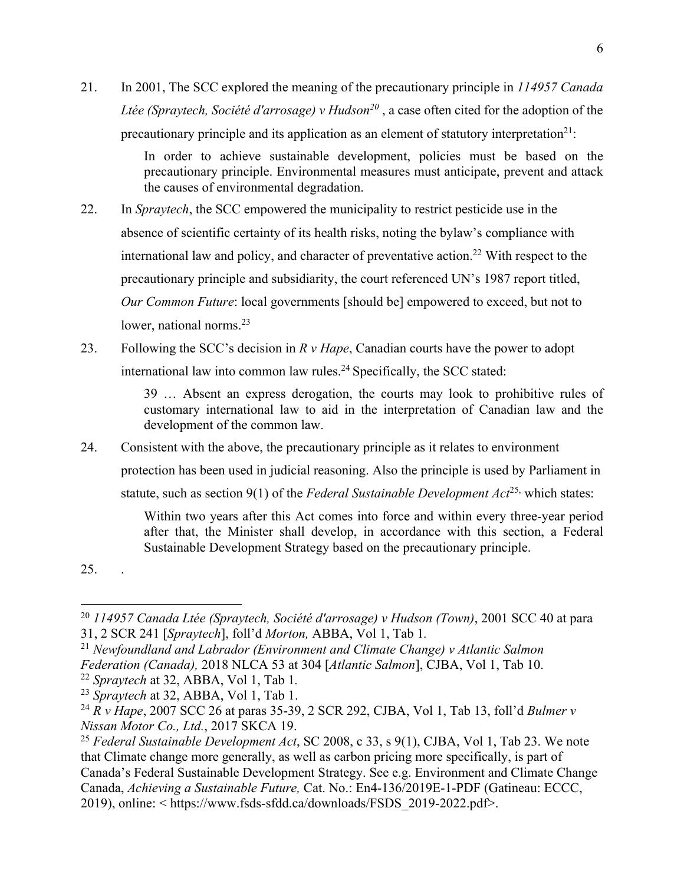21. In 2001, The SCC explored the meaning of the precautionary principle in *114957 Canada Ltée (Spraytech, Société d'arrosage) v Hudson<sup>20</sup>*, a case often cited for the adoption of the precautionary principle and its application as an element of statutory interpretation<sup>21</sup>:

> In order to achieve sustainable development, policies must be based on the precautionary principle. Environmental measures must anticipate, prevent and attack the causes of environmental degradation.

- 22. In *Spraytech*, the SCC empowered the municipality to restrict pesticide use in the absence of scientific certainty of its health risks, noting the bylaw's compliance with international law and policy, and character of preventative action.<sup>22</sup> With respect to the precautionary principle and subsidiarity, the court referenced UN's 1987 report titled, *Our Common Future*: local governments [should be] empowered to exceed, but not to lower, national norms.<sup>23</sup>
- 23. Following the SCC's decision in *R v Hape*, Canadian courts have the power to adopt international law into common law rules.<sup>24</sup> Specifically, the SCC stated:

39 … Absent an express derogation, the courts may look to prohibitive rules of customary international law to aid in the interpretation of Canadian law and the development of the common law.

24. Consistent with the above, the precautionary principle as it relates to environment

protection has been used in judicial reasoning. Also the principle is used by Parliament in

statute, such as section 9(1) of the *Federal Sustainable Development Act*<sup>25,</sup> which states:

Within two years after this Act comes into force and within every three-year period after that, the Minister shall develop, in accordance with this section, a Federal Sustainable Development Strategy based on the precautionary principle.

25. .

<sup>22</sup> *Spraytech* at 32, ABBA, Vol 1, Tab 1*.*

<sup>20</sup> *114957 Canada Ltée (Spraytech, Société d'arrosage) v Hudson (Town)*, 2001 SCC 40 at para 31, 2 SCR 241 [*Spraytech*], foll'd *Morton,* ABBA, Vol 1, Tab 1*.*

<sup>21</sup> *Newfoundland and Labrador (Environment and Climate Change) v Atlantic Salmon* 

*Federation (Canada),* 2018 NLCA 53 at 304 [*Atlantic Salmon*], CJBA, Vol 1, Tab 10.

<sup>23</sup> *Spraytech* at 32, ABBA, Vol 1, Tab 1. 24 *R v Hape*, 2007 SCC 26 at paras 35-39, 2 SCR 292, CJBA, Vol 1, Tab 13, foll'd *Bulmer v Nissan Motor Co., Ltd.*, 2017 SKCA 19.

<sup>25</sup> *Federal Sustainable Development Act*, SC 2008, c 33, s 9(1), CJBA, Vol 1, Tab 23. We note that Climate change more generally, as well as carbon pricing more specifically, is part of Canada's Federal Sustainable Development Strategy. See e.g. Environment and Climate Change Canada, *Achieving a Sustainable Future,* Cat. No.: En4-136/2019E-1-PDF (Gatineau: ECCC, 2019), online: < https://www.fsds-sfdd.ca/downloads/FSDS\_2019-2022.pdf>.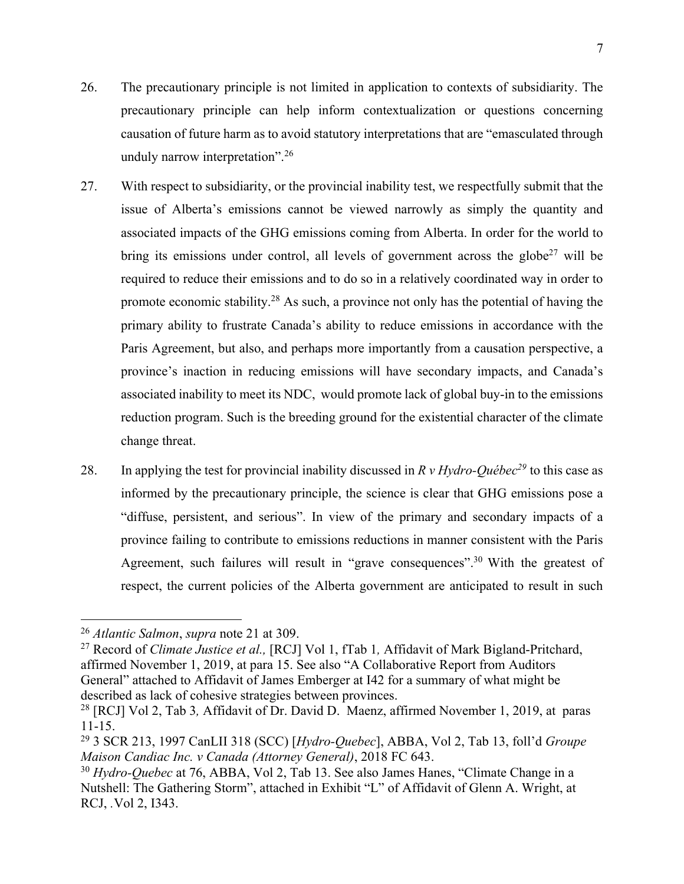7

- 26. The precautionary principle is not limited in application to contexts of subsidiarity. The precautionary principle can help inform contextualization or questions concerning causation of future harm as to avoid statutory interpretations that are "emasculated through unduly narrow interpretation".26
- 27. With respect to subsidiarity, or the provincial inability test, we respectfully submit that the issue of Alberta's emissions cannot be viewed narrowly as simply the quantity and associated impacts of the GHG emissions coming from Alberta. In order for the world to bring its emissions under control, all levels of government across the globe<sup>27</sup> will be required to reduce their emissions and to do so in a relatively coordinated way in order to promote economic stability.<sup>28</sup> As such, a province not only has the potential of having the primary ability to frustrate Canada's ability to reduce emissions in accordance with the Paris Agreement, but also, and perhaps more importantly from a causation perspective, a province's inaction in reducing emissions will have secondary impacts, and Canada's associated inability to meet its NDC, would promote lack of global buy-in to the emissions reduction program. Such is the breeding ground for the existential character of the climate change threat.
- 28. In applying the test for provincial inability discussed in  $R v H y dro-Québec<sup>29</sup>$  to this case as informed by the precautionary principle, the science is clear that GHG emissions pose a "diffuse, persistent, and serious". In view of the primary and secondary impacts of a province failing to contribute to emissions reductions in manner consistent with the Paris Agreement, such failures will result in "grave consequences".<sup>30</sup> With the greatest of respect, the current policies of the Alberta government are anticipated to result in such

<sup>26</sup> *Atlantic Salmon*, *supra* note 21 at 309.

<sup>27</sup> Record of *Climate Justice et al.,* [RCJ] Vol 1, fTab 1*,* Affidavit of Mark Bigland-Pritchard, affirmed November 1, 2019, at para 15. See also "A Collaborative Report from Auditors General" attached to Affidavit of James Emberger at I42 for a summary of what might be described as lack of cohesive strategies between provinces.

<sup>28</sup> [RCJ] Vol 2, Tab 3*,* Affidavit of Dr. David D. Maenz, affirmed November 1, 2019, at paras 11-15.

<sup>29</sup> 3 SCR 213, 1997 CanLII 318 (SCC) [*Hydro-Quebec*], ABBA, Vol 2, Tab 13, foll'd *Groupe Maison Candiac Inc. v Canada (Attorney General)*, 2018 FC 643.

<sup>30</sup> *Hydro-Quebec* at 76, ABBA, Vol 2, Tab 13. See also James Hanes, "Climate Change in a Nutshell: The Gathering Storm", attached in Exhibit "L" of Affidavit of Glenn A. Wright, at RCJ, *.*Vol 2, I343.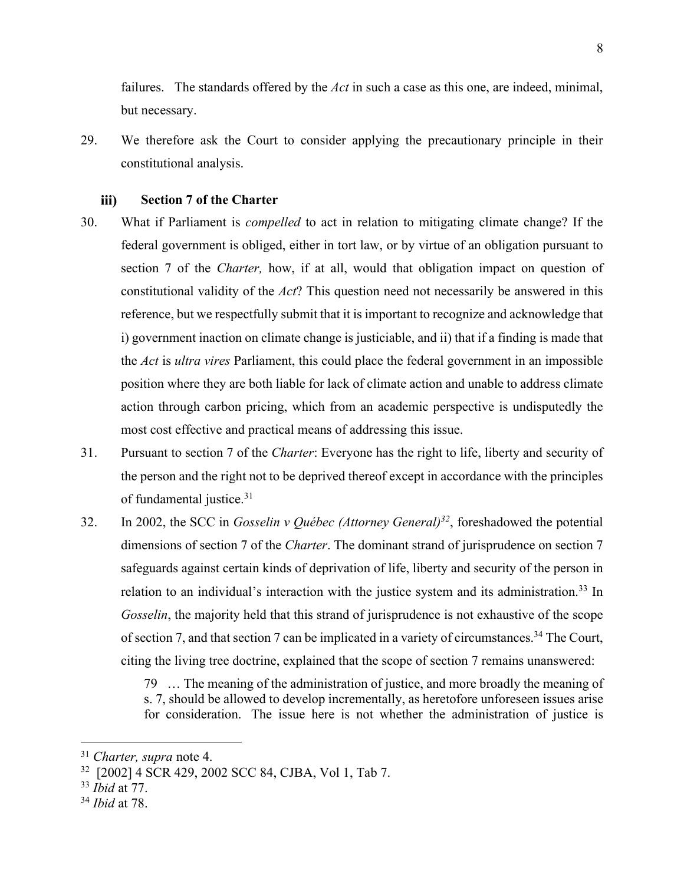failures. The standards offered by the *Act* in such a case as this one, are indeed, minimal, but necessary.

29. We therefore ask the Court to consider applying the precautionary principle in their constitutional analysis.

#### **Section 7 of the Charter** iii)

- 30. What if Parliament is *compelled* to act in relation to mitigating climate change? If the federal government is obliged, either in tort law, or by virtue of an obligation pursuant to section 7 of the *Charter,* how, if at all, would that obligation impact on question of constitutional validity of the *Act*? This question need not necessarily be answered in this reference, but we respectfully submit that it is important to recognize and acknowledge that i) government inaction on climate change is justiciable, and ii) that if a finding is made that the *Act* is *ultra vires* Parliament, this could place the federal government in an impossible position where they are both liable for lack of climate action and unable to address climate action through carbon pricing, which from an academic perspective is undisputedly the most cost effective and practical means of addressing this issue.
- 31. Pursuant to section 7 of the *Charter*: Everyone has the right to life, liberty and security of the person and the right not to be deprived thereof except in accordance with the principles of fundamental justice. 31
- 32. In 2002, the SCC in *Gosselin v Québec (Attorney General)32*, foreshadowed the potential dimensions of section 7 of the *Charter*. The dominant strand of jurisprudence on section 7 safeguards against certain kinds of deprivation of life, liberty and security of the person in relation to an individual's interaction with the justice system and its administration.<sup>33</sup> In *Gosselin*, the majority held that this strand of jurisprudence is not exhaustive of the scope of section 7, and that section 7 can be implicated in a variety of circumstances.<sup>34</sup> The Court, citing the living tree doctrine, explained that the scope of section 7 remains unanswered:

79 … The meaning of the administration of justice, and more broadly the meaning of s. 7, should be allowed to develop incrementally, as heretofore unforeseen issues arise for consideration. The issue here is not whether the administration of justice is

<sup>31</sup> *Charter, supra* note 4.

<sup>32 [2002] 4</sup> SCR 429, 2002 SCC 84, CJBA, Vol 1, Tab 7.

<sup>33</sup> *Ibid* at 77.

<sup>34</sup> *Ibid* at 78.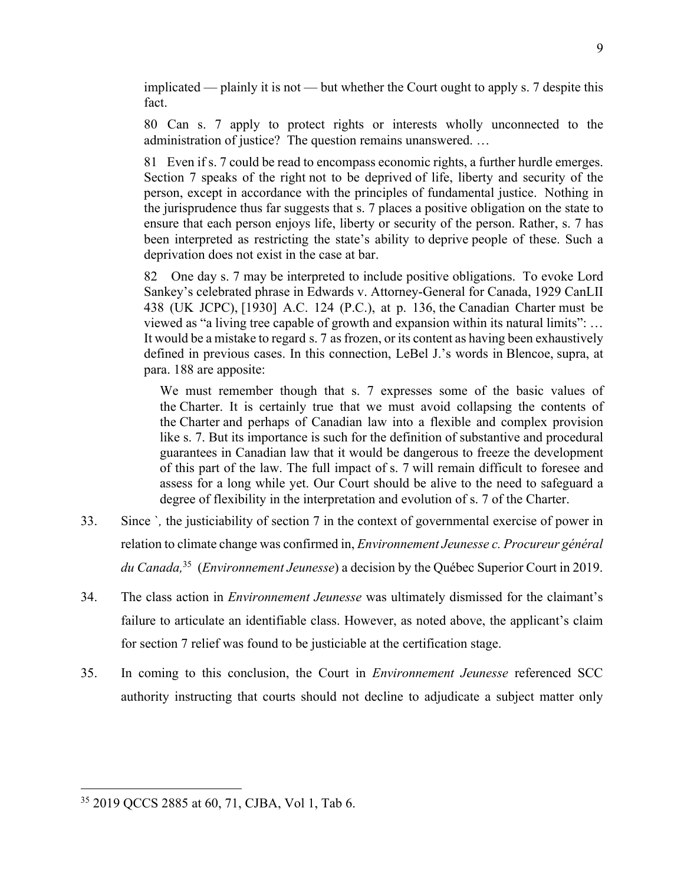implicated — plainly it is not — but whether the Court ought to apply s. 7 despite this fact.

80 Can s. 7 apply to protect rights or interests wholly unconnected to the administration of justice? The question remains unanswered. …

81 Even if s. 7 could be read to encompass economic rights, a further hurdle emerges. Section 7 speaks of the right not to be deprived of life, liberty and security of the person, except in accordance with the principles of fundamental justice. Nothing in the jurisprudence thus far suggests that s. 7 places a positive obligation on the state to ensure that each person enjoys life, liberty or security of the person. Rather, s. 7 has been interpreted as restricting the state's ability to deprive people of these. Such a deprivation does not exist in the case at bar.

82 One day s. 7 may be interpreted to include positive obligations. To evoke Lord Sankey's celebrated phrase in Edwards v. Attorney-General for Canada, 1929 CanLII 438 (UK JCPC), [1930] A.C. 124 (P.C.), at p. 136, the Canadian Charter must be viewed as "a living tree capable of growth and expansion within its natural limits": … It would be a mistake to regard s. 7 as frozen, or its content as having been exhaustively defined in previous cases. In this connection, LeBel J.'s words in Blencoe, supra, at para. 188 are apposite:

We must remember though that s. 7 expresses some of the basic values of the Charter. It is certainly true that we must avoid collapsing the contents of the Charter and perhaps of Canadian law into a flexible and complex provision like s. 7. But its importance is such for the definition of substantive and procedural guarantees in Canadian law that it would be dangerous to freeze the development of this part of the law. The full impact of s. 7 will remain difficult to foresee and assess for a long while yet. Our Court should be alive to the need to safeguard a degree of flexibility in the interpretation and evolution of s. 7 of the Charter.

- 33. Since `*,* the justiciability of section 7 in the context of governmental exercise of power in relation to climate change was confirmed in, *Environnement Jeunesse c. Procureur général du Canada,*<sup>35</sup> (*Environnement Jeunesse*) a decision by the Québec Superior Court in 2019.
- 34. The class action in *Environnement Jeunesse* was ultimately dismissed for the claimant's failure to articulate an identifiable class. However, as noted above, the applicant's claim for section 7 relief was found to be justiciable at the certification stage.
- 35. In coming to this conclusion, the Court in *Environnement Jeunesse* referenced SCC authority instructing that courts should not decline to adjudicate a subject matter only

<sup>35</sup> 2019 QCCS 2885 at 60, 71, CJBA, Vol 1, Tab 6.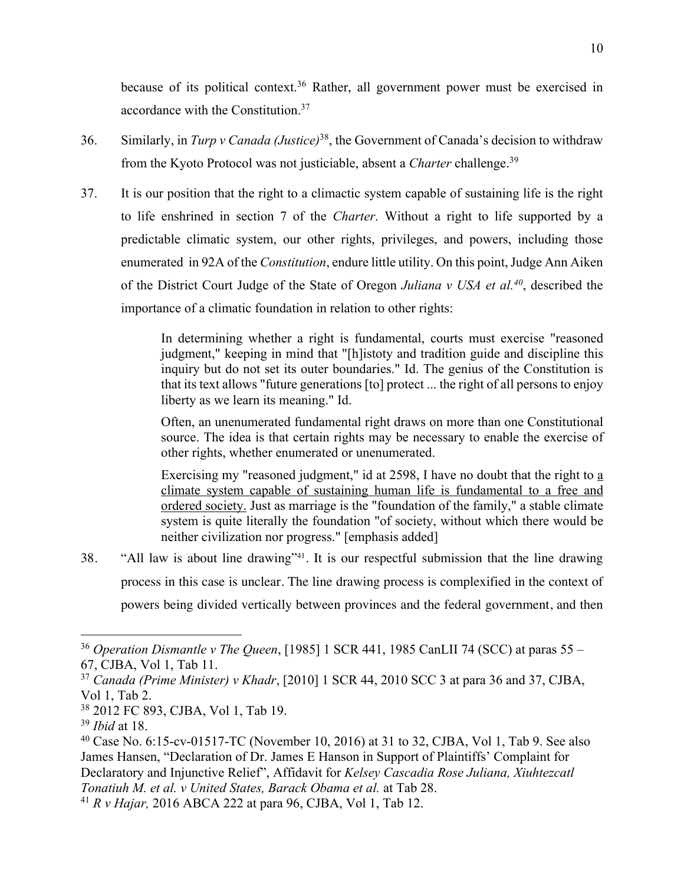because of its political context.<sup>36</sup> Rather, all government power must be exercised in accordance with the Constitution. 37

- 36. Similarly, in *Turp v Canada (Justice)*38, the Government of Canada's decision to withdraw from the Kyoto Protocol was not justiciable, absent a *Charter* challenge.39
- 37. It is our position that the right to a climactic system capable of sustaining life is the right to life enshrined in section 7 of the *Charter*. Without a right to life supported by a predictable climatic system, our other rights, privileges, and powers, including those enumerated in 92A of the *Constitution*, endure little utility. On this point, Judge Ann Aiken of the District Court Judge of the State of Oregon *Juliana v USA et al.40*, described the importance of a climatic foundation in relation to other rights:

In determining whether a right is fundamental, courts must exercise "reasoned judgment," keeping in mind that "[h]istoty and tradition guide and discipline this inquiry but do not set its outer boundaries." Id. The genius of the Constitution is that its text allows "future generations [to] protect ... the right of all persons to enjoy liberty as we learn its meaning." Id.

Often, an unenumerated fundamental right draws on more than one Constitutional source. The idea is that certain rights may be necessary to enable the exercise of other rights, whether enumerated or unenumerated.

Exercising my "reasoned judgment," id at 2598, I have no doubt that the right to a climate system capable of sustaining human life is fundamental to a free and ordered society. Just as marriage is the "foundation of the family," a stable climate system is quite literally the foundation "of society, without which there would be neither civilization nor progress." [emphasis added]

38. "All law is about line drawing"41. It is our respectful submission that the line drawing process in this case is unclear. The line drawing process is complexified in the context of powers being divided vertically between provinces and the federal government, and then

<sup>36</sup> *Operation Dismantle v The Queen*, [1985] 1 SCR 441, 1985 CanLII 74 (SCC) at paras 55 – 67, CJBA, Vol 1, Tab 11.

<sup>37</sup> *Canada (Prime Minister) v Khadr*, [2010] 1 SCR 44, 2010 SCC 3 at para 36 and 37, CJBA, Vol 1, Tab 2.

<sup>38</sup> 2012 FC 893, CJBA, Vol 1, Tab 19.

<sup>39</sup> *Ibid* at 18.

<sup>40</sup> Case No. 6:15-cv-01517-TC (November 10, 2016) at 31 to 32, CJBA, Vol 1, Tab 9. See also James Hansen, "Declaration of Dr. James E Hanson in Support of Plaintiffs' Complaint for Declaratory and Injunctive Relief", Affidavit for *Kelsey Cascadia Rose Juliana, Xiuhtezcatl Tonatiuh M. et al. v United States, Barack Obama et al.* at Tab 28. 41 *R v Hajar,* <sup>2016</sup> ABCA <sup>222</sup> at para 96, CJBA, Vol 1, Tab 12.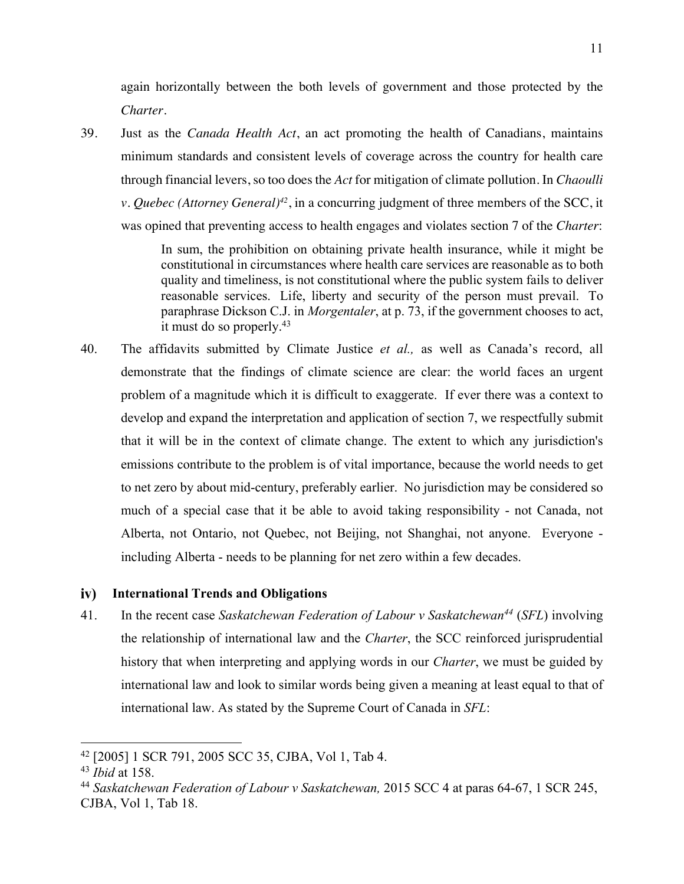again horizontally between the both levels of government and those protected by the *Charter*.

39. Just as the *Canada Health Act*, an act promoting the health of Canadians, maintains minimum standards and consistent levels of coverage across the country for health care through financial levers, so too does the *Act* for mitigation of climate pollution. In *Chaoulli v. Quebec (Attorney General)42*, in a concurring judgment of three members of the SCC, it was opined that preventing access to health engages and violates section 7 of the *Charter*:

> In sum, the prohibition on obtaining private health insurance, while it might be constitutional in circumstances where health care services are reasonable as to both quality and timeliness, is not constitutional where the public system fails to deliver reasonable services. Life, liberty and security of the person must prevail. To paraphrase Dickson C.J. in *Morgentaler*, at p. 73, if the government chooses to act, it must do so properly. $43$

40. The affidavits submitted by Climate Justice *et al.,* as well as Canada's record, all demonstrate that the findings of climate science are clear: the world faces an urgent problem of a magnitude which it is difficult to exaggerate. If ever there was a context to develop and expand the interpretation and application of section 7, we respectfully submit that it will be in the context of climate change. The extent to which any jurisdiction's emissions contribute to the problem is of vital importance, because the world needs to get to net zero by about mid-century, preferably earlier. No jurisdiction may be considered so much of a special case that it be able to avoid taking responsibility - not Canada, not Alberta, not Ontario, not Quebec, not Beijing, not Shanghai, not anyone. Everyone including Alberta - needs to be planning for net zero within a few decades.

#### $iv)$ **International Trends and Obligations**

41. In the recent case *Saskatchewan Federation of Labour v Saskatchewan44* (*SFL*) involving the relationship of international law and the *Charter*, the SCC reinforced jurisprudential history that when interpreting and applying words in our *Charter*, we must be guided by international law and look to similar words being given a meaning at least equal to that of international law. As stated by the Supreme Court of Canada in *SFL*:

<sup>42</sup> [2005] 1 SCR 791, 2005 SCC 35, CJBA, Vol 1, Tab 4.

<sup>43</sup> *Ibid* at 158.

<sup>44</sup> *Saskatchewan Federation of Labour v Saskatchewan,* 2015 SCC 4 at paras 64-67, 1 SCR 245, CJBA, Vol 1, Tab 18.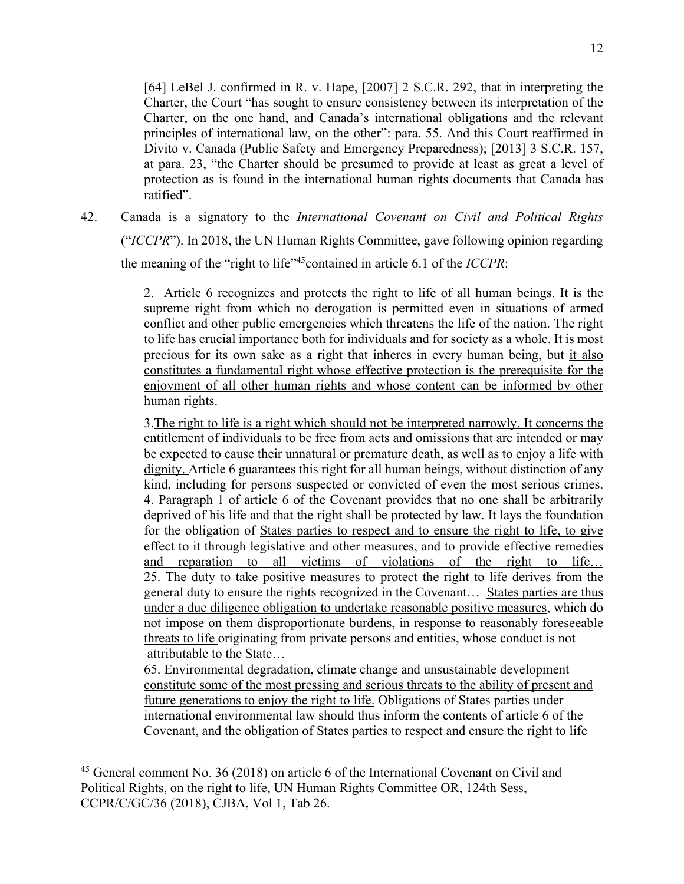[64] LeBel J. confirmed in R. v. Hape, [2007] 2 S.C.R. 292, that in interpreting the Charter, the Court "has sought to ensure consistency between its interpretation of the Charter, on the one hand, and Canada's international obligations and the relevant principles of international law, on the other": para. 55. And this Court reaffirmed in Divito v. Canada (Public Safety and Emergency Preparedness); [2013] 3 S.C.R. 157, at para. 23, "the Charter should be presumed to provide at least as great a level of protection as is found in the international human rights documents that Canada has ratified".

42. Canada is a signatory to the *International Covenant on Civil and Political Rights*  ("*ICCPR*"). In 2018, the UN Human Rights Committee, gave following opinion regarding the meaning of the "right to life"45contained in article 6.1 of the *ICCPR*:

> 2. Article 6 recognizes and protects the right to life of all human beings. It is the supreme right from which no derogation is permitted even in situations of armed conflict and other public emergencies which threatens the life of the nation. The right to life has crucial importance both for individuals and for society as a whole. It is most precious for its own sake as a right that inheres in every human being, but it also constitutes a fundamental right whose effective protection is the prerequisite for the enjoyment of all other human rights and whose content can be informed by other human rights.

> 3.The right to life is a right which should not be interpreted narrowly. It concerns the entitlement of individuals to be free from acts and omissions that are intended or may be expected to cause their unnatural or premature death, as well as to enjoy a life with dignity. Article 6 guarantees this right for all human beings, without distinction of any kind, including for persons suspected or convicted of even the most serious crimes. 4. Paragraph 1 of article 6 of the Covenant provides that no one shall be arbitrarily deprived of his life and that the right shall be protected by law. It lays the foundation for the obligation of States parties to respect and to ensure the right to life, to give effect to it through legislative and other measures, and to provide effective remedies and reparation to all victims of violations of the right to life… 25. The duty to take positive measures to protect the right to life derives from the general duty to ensure the rights recognized in the Covenant… States parties are thus under a due diligence obligation to undertake reasonable positive measures, which do not impose on them disproportionate burdens, in response to reasonably foreseeable threats to life originating from private persons and entities, whose conduct is not attributable to the State…

65. Environmental degradation, climate change and unsustainable development constitute some of the most pressing and serious threats to the ability of present and future generations to enjoy the right to life. Obligations of States parties under international environmental law should thus inform the contents of article 6 of the Covenant, and the obligation of States parties to respect and ensure the right to life

<sup>&</sup>lt;sup>45</sup> General comment No. 36 (2018) on article 6 of the International Covenant on Civil and Political Rights, on the right to life, UN Human Rights Committee OR, 124th Sess, CCPR/C/GC/36 (2018), CJBA, Vol 1, Tab 26.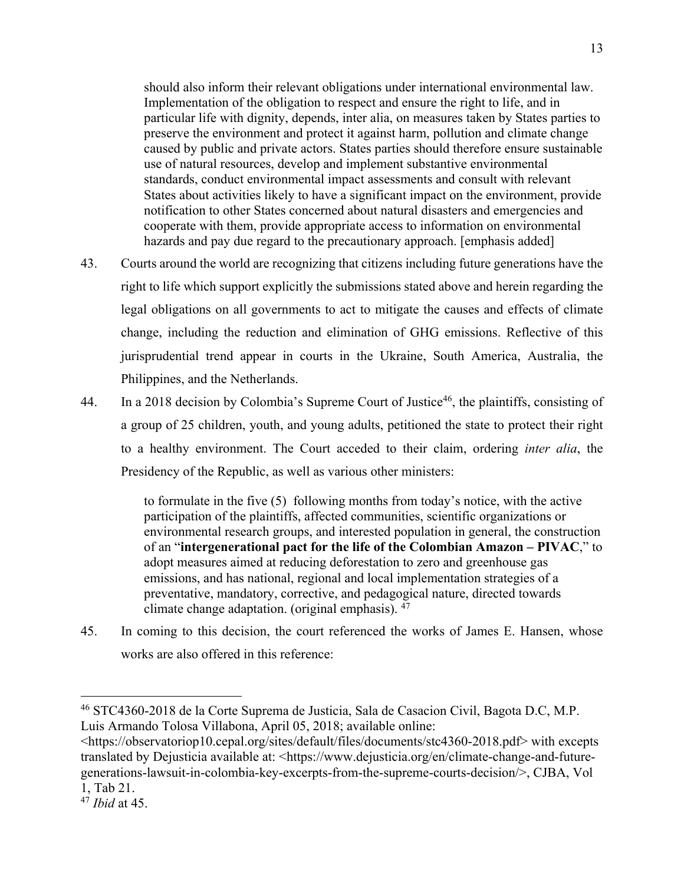should also inform their relevant obligations under international environmental law. Implementation of the obligation to respect and ensure the right to life, and in particular life with dignity, depends, inter alia, on measures taken by States parties to preserve the environment and protect it against harm, pollution and climate change caused by public and private actors. States parties should therefore ensure sustainable use of natural resources, develop and implement substantive environmental standards, conduct environmental impact assessments and consult with relevant States about activities likely to have a significant impact on the environment, provide notification to other States concerned about natural disasters and emergencies and cooperate with them, provide appropriate access to information on environmental hazards and pay due regard to the precautionary approach. [emphasis added]

- 43. Courts around the world are recognizing that citizens including future generations have the right to life which support explicitly the submissions stated above and herein regarding the legal obligations on all governments to act to mitigate the causes and effects of climate change, including the reduction and elimination of GHG emissions. Reflective of this jurisprudential trend appear in courts in the Ukraine, South America, Australia, the Philippines, and the Netherlands.
- 44. In a 2018 decision by Colombia's Supreme Court of Justice<sup>46</sup>, the plaintiffs, consisting of a group of 25 children, youth, and young adults, petitioned the state to protect their right to a healthy environment. The Court acceded to their claim, ordering *inter alia*, the Presidency of the Republic, as well as various other ministers:

to formulate in the five (5) following months from today's notice, with the active participation of the plaintiffs, affected communities, scientific organizations or environmental research groups, and interested population in general, the construction of an "**intergenerational pact for the life of the Colombian Amazon – PIVAC**," to adopt measures aimed at reducing deforestation to zero and greenhouse gas emissions, and has national, regional and local implementation strategies of a preventative, mandatory, corrective, and pedagogical nature, directed towards climate change adaptation. (original emphasis). 47

45. In coming to this decision, the court referenced the works of James E. Hansen, whose works are also offered in this reference:

<https://observatoriop10.cepal.org/sites/default/files/documents/stc4360-2018.pdf> with excepts translated by Dejusticia available at: <https://www.dejusticia.org/en/climate-change-and-futuregenerations-lawsuit-in-colombia-key-excerpts-from-the-supreme-courts-decision/>, CJBA, Vol 1, Tab 21.

<sup>46</sup> STC4360-2018 de la Corte Suprema de Justicia, Sala de Casacion Civil, Bagota D.C, M.P. Luis Armando Tolosa Villabona, April 05, 2018; available online:

<sup>47</sup> *Ibid* at 45.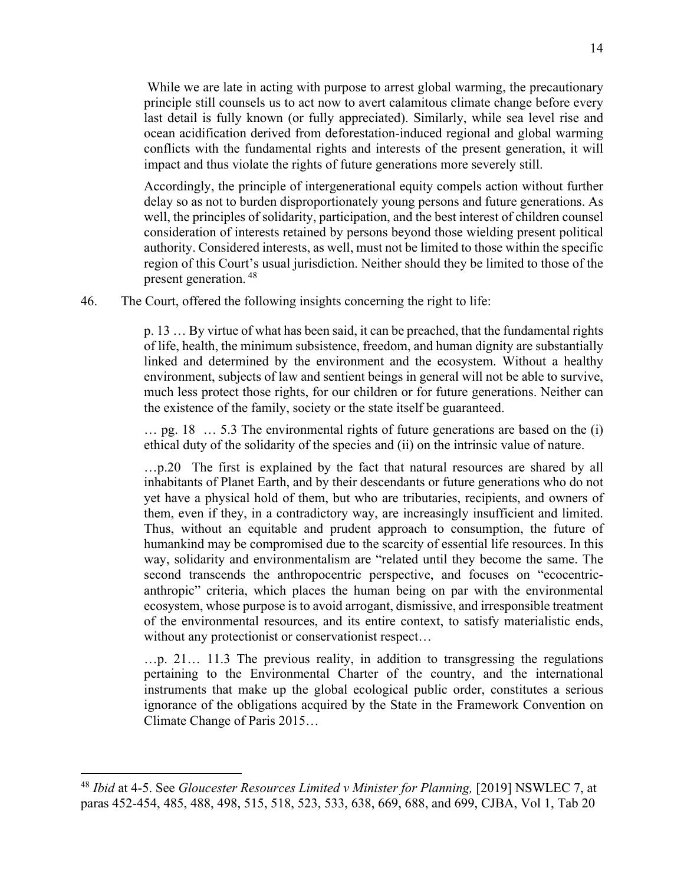While we are late in acting with purpose to arrest global warming, the precautionary principle still counsels us to act now to avert calamitous climate change before every last detail is fully known (or fully appreciated). Similarly, while sea level rise and ocean acidification derived from deforestation-induced regional and global warming conflicts with the fundamental rights and interests of the present generation, it will impact and thus violate the rights of future generations more severely still.

Accordingly, the principle of intergenerational equity compels action without further delay so as not to burden disproportionately young persons and future generations. As well, the principles of solidarity, participation, and the best interest of children counsel consideration of interests retained by persons beyond those wielding present political authority. Considered interests, as well, must not be limited to those within the specific region of this Court's usual jurisdiction. Neither should they be limited to those of the present generation. <sup>48</sup>

46. The Court, offered the following insights concerning the right to life:

p. 13 … By virtue of what has been said, it can be preached, that the fundamental rights of life, health, the minimum subsistence, freedom, and human dignity are substantially linked and determined by the environment and the ecosystem. Without a healthy environment, subjects of law and sentient beings in general will not be able to survive, much less protect those rights, for our children or for future generations. Neither can the existence of the family, society or the state itself be guaranteed.

… pg. 18 … 5.3 The environmental rights of future generations are based on the (i) ethical duty of the solidarity of the species and (ii) on the intrinsic value of nature.

…p.20 The first is explained by the fact that natural resources are shared by all inhabitants of Planet Earth, and by their descendants or future generations who do not yet have a physical hold of them, but who are tributaries, recipients, and owners of them, even if they, in a contradictory way, are increasingly insufficient and limited. Thus, without an equitable and prudent approach to consumption, the future of humankind may be compromised due to the scarcity of essential life resources. In this way, solidarity and environmentalism are "related until they become the same. The second transcends the anthropocentric perspective, and focuses on "ecocentricanthropic" criteria, which places the human being on par with the environmental ecosystem, whose purpose is to avoid arrogant, dismissive, and irresponsible treatment of the environmental resources, and its entire context, to satisfy materialistic ends, without any protectionist or conservationist respect…

…p. 21… 11.3 The previous reality, in addition to transgressing the regulations pertaining to the Environmental Charter of the country, and the international instruments that make up the global ecological public order, constitutes a serious ignorance of the obligations acquired by the State in the Framework Convention on Climate Change of Paris 2015…

<sup>48</sup> *Ibid* at 4-5. See *Gloucester Resources Limited v Minister for Planning,* [2019] NSWLEC 7, at paras 452-454, 485, 488, 498, 515, 518, 523, 533, 638, 669, 688, and 699, CJBA, Vol 1, Tab 20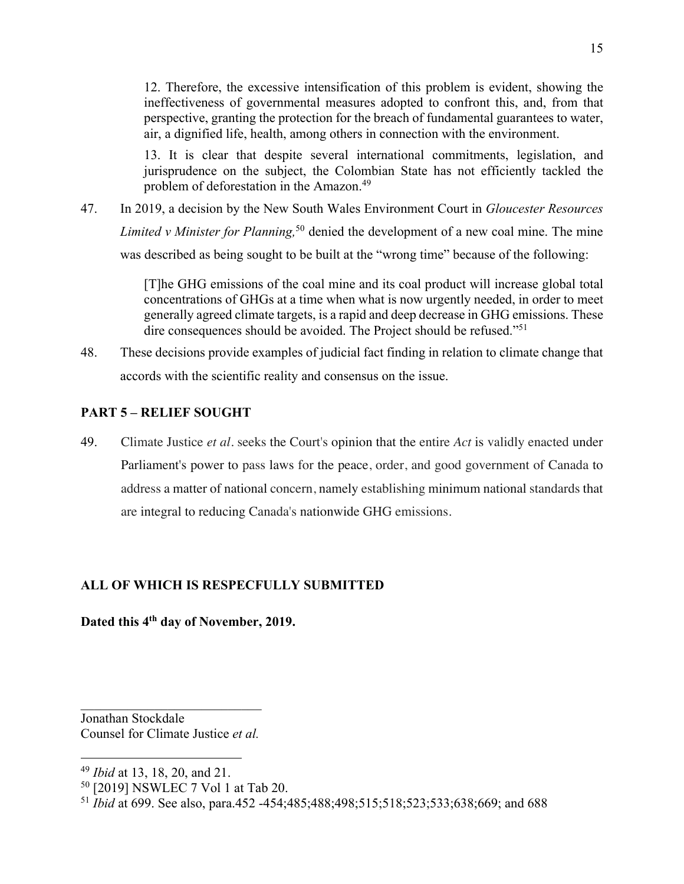12. Therefore, the excessive intensification of this problem is evident, showing the ineffectiveness of governmental measures adopted to confront this, and, from that perspective, granting the protection for the breach of fundamental guarantees to water, air, a dignified life, health, among others in connection with the environment.

13. It is clear that despite several international commitments, legislation, and jurisprudence on the subject, the Colombian State has not efficiently tackled the problem of deforestation in the Amazon.49

47. In 2019, a decision by the New South Wales Environment Court in *Gloucester Resources Limited v Minister for Planning,* <sup>50</sup> denied the development of a new coal mine. The mine was described as being sought to be built at the "wrong time" because of the following:

> [T]he GHG emissions of the coal mine and its coal product will increase global total concentrations of GHGs at a time when what is now urgently needed, in order to meet generally agreed climate targets, is a rapid and deep decrease in GHG emissions. These dire consequences should be avoided. The Project should be refused."51

48. These decisions provide examples of judicial fact finding in relation to climate change that accords with the scientific reality and consensus on the issue.

# **PART 5 – RELIEF SOUGHT**

49. Climate Justice *et al.* seeks the Court's opinion that the entire *Act* is validly enacted under Parliament's power to pass laws for the peace, order, and good government of Canada to address a matter of national concern, namely establishing minimum national standards that are integral to reducing Canada's nationwide GHG emissions.

# **ALL OF WHICH IS RESPECFULLY SUBMITTED**

# **Dated this 4th day of November, 2019.**

Jonathan Stockdale Counsel for Climate Justice *et al.*

<sup>49</sup> *Ibid* at 13, 18, 20, and 21.

<sup>50</sup> [2019] NSWLEC 7 Vol 1 at Tab 20.

<sup>51</sup> *Ibid* at 699. See also, para.452 -454;485;488;498;515;518;523;533;638;669; and 688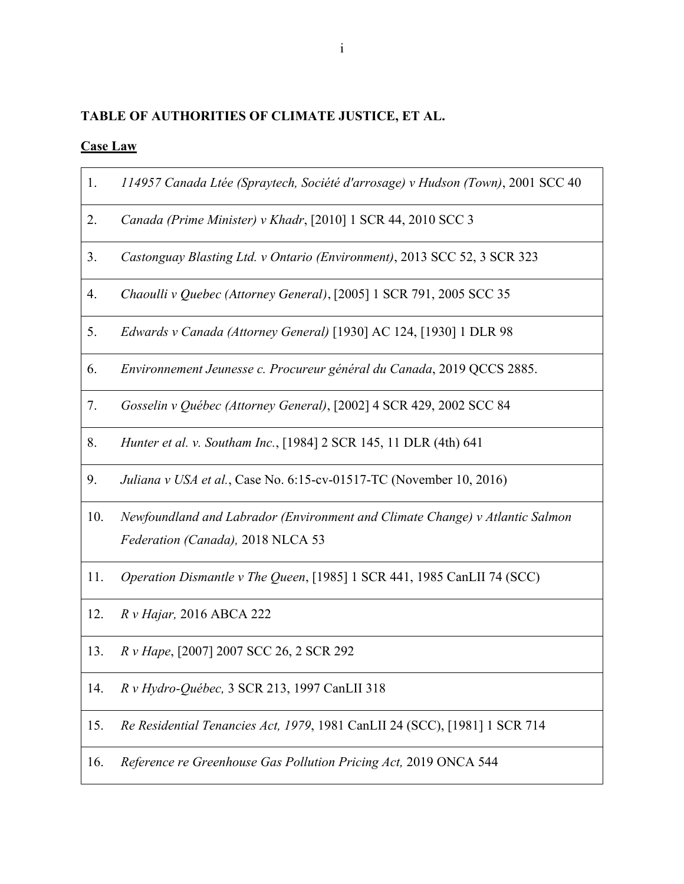# **TABLE OF AUTHORITIES OF CLIMATE JUSTICE, ET AL.**

# **Case Law**

| 1.  | 114957 Canada Ltée (Spraytech, Société d'arrosage) v Hudson (Town), 2001 SCC 40                                   |
|-----|-------------------------------------------------------------------------------------------------------------------|
| 2.  | Canada (Prime Minister) v Khadr, [2010] 1 SCR 44, 2010 SCC 3                                                      |
| 3.  | Castonguay Blasting Ltd. v Ontario (Environment), 2013 SCC 52, 3 SCR 323                                          |
| 4.  | Chaoulli v Quebec (Attorney General), [2005] 1 SCR 791, 2005 SCC 35                                               |
| 5.  | Edwards v Canada (Attorney General) [1930] AC 124, [1930] 1 DLR 98                                                |
| 6.  | Environnement Jeunesse c. Procureur général du Canada, 2019 QCCS 2885.                                            |
| 7.  | Gosselin v Québec (Attorney General), [2002] 4 SCR 429, 2002 SCC 84                                               |
| 8.  | Hunter et al. v. Southam Inc., [1984] 2 SCR 145, 11 DLR (4th) 641                                                 |
| 9.  | Juliana v USA et al., Case No. 6:15-cv-01517-TC (November 10, 2016)                                               |
| 10. | Newfoundland and Labrador (Environment and Climate Change) v Atlantic Salmon<br>Federation (Canada), 2018 NLCA 53 |
| 11. | Operation Dismantle v The Queen, [1985] 1 SCR 441, 1985 CanLII 74 (SCC)                                           |
| 12. | R v Hajar, 2016 ABCA 222                                                                                          |
| 13. | R v Hape, [2007] 2007 SCC 26, 2 SCR 292                                                                           |
| 14. | R v Hydro-Québec, 3 SCR 213, 1997 CanLII 318                                                                      |
| 15. | Re Residential Tenancies Act, 1979, 1981 CanLII 24 (SCC), [1981] 1 SCR 714                                        |
| 16. | Reference re Greenhouse Gas Pollution Pricing Act, 2019 ONCA 544                                                  |